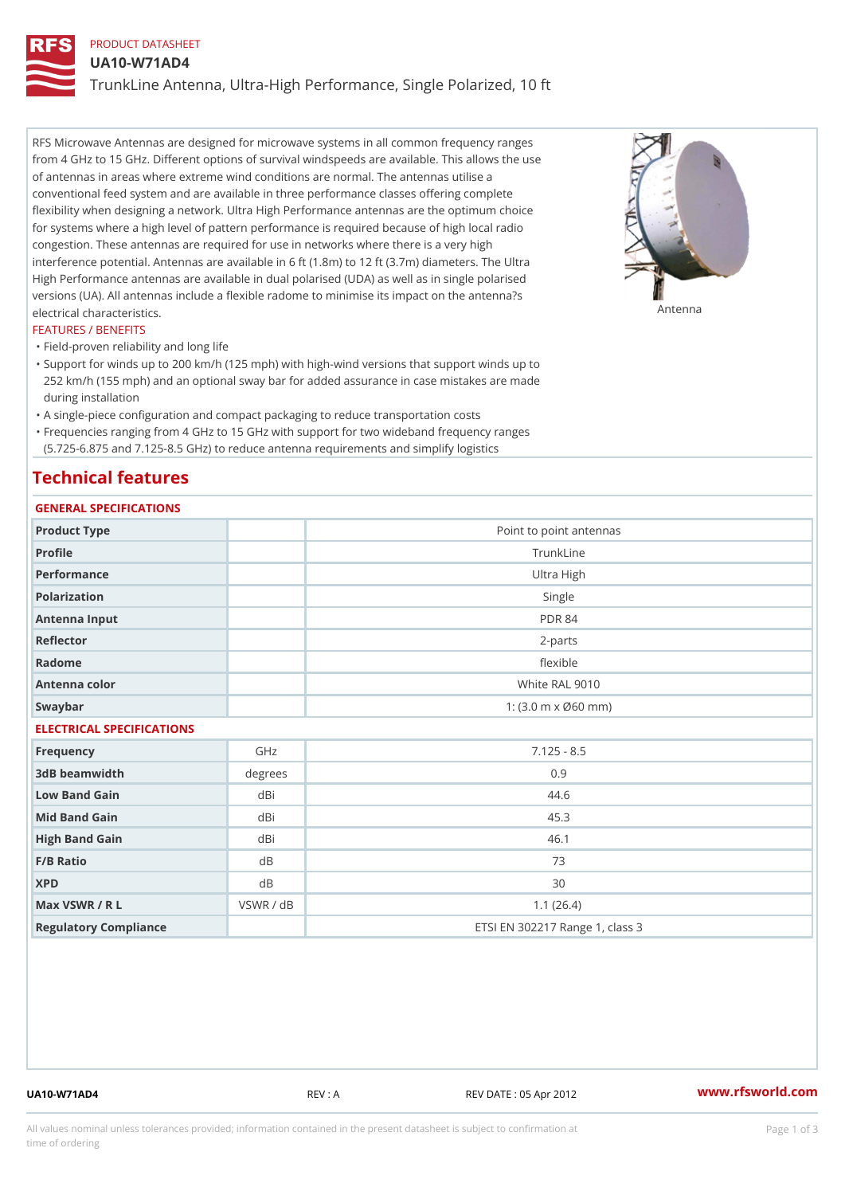# PRODUCT DATASHEET

UA10-W71AD4

TrunkLine Antenna, Ultra-High Performance, Single Polarized, 10 ft

RFS Microwave Antennas are designed for microwave systems in all common frequency ranges from 4 GHz to 15 GHz. Different options of survival windspeeds are available. This allows the use of antennas in areas where extreme wind conditions are normal. The antennas utilise a conventional feed system and are available in three performance classes offering complete flexibility when designing a network. Ultra High Performance antennas are the optimum choice for systems where a high level of pattern performance is required because of high local radio congestion. These antennas are required for use in networks where there is a very high interference potential. Antennas are available in 6 ft (1.8m) to 12 ft (3.7m) diameters. The Ultra High Performance antennas are available in dual polarised (UDA) as well as in single polarised versions (UA). All antennas include a flexible radome to minimise its impact on the antenna?s electrical characteristics. Antenna

#### FEATURES / BENEFITS

"Field-proven reliability and long life

- Support for winds up to 200 km/h (125 mph) with high-wind versions that support winds up to " 252 km/h (155 mph) and an optional sway bar for added assurance in case mistakes are made during installation
- "A single-piece configuration and compact packaging to reduce transportation costs
- Frequencies ranging from 4 GHz to 15 GHz with support for two wideband frequency ranges "
- (5.725-6.875 and 7.125-8.5 GHz) to reduce antenna requirements and simplify logistics

## Technical features

# GENERAL SPECIFICATIONS

| GENERAL SELGIFICATIONS    |           |                                 |  |  |
|---------------------------|-----------|---------------------------------|--|--|
| Product Type              |           | Point to point antennas         |  |  |
| Profile                   |           | TrunkLine                       |  |  |
| Performance               |           | Ultra High                      |  |  |
| Polarization              |           | Single                          |  |  |
| Antenna Input             |           | <b>PDR 84</b>                   |  |  |
| Reflector                 |           | $2 - p$ arts                    |  |  |
| Radome                    |           | flexible                        |  |  |
| Antenna color             |           | White RAL 9010                  |  |  |
| Swaybar                   |           | 1: (3.0 m x Ø60 mm)             |  |  |
| ELECTRICAL SPECIFICATIONS |           |                                 |  |  |
| Frequency                 | GHz       | $7.125 - 8.5$                   |  |  |
| 3dB beamwidth             | degree:   | 0.9                             |  |  |
| Low Band Gain             | dBi       | 44.6                            |  |  |
| Mid Band Gain             | dBi       | 45.3                            |  |  |
| High Band Gain            | dBi       | 46.1                            |  |  |
| F/B Ratio                 | $d$ B     | 73                              |  |  |
| <b>XPD</b>                | d B       | 30                              |  |  |
| Max VSWR / R L            | VSWR / dB | 1.1(26.4)                       |  |  |
| Regulatory Compliance     |           | ETSI EN 302217 Range 1, class 3 |  |  |

UA10-W71AD4 REV : A REV DATE : 05 Apr 2012 [www.](https://www.rfsworld.com)rfsworld.com

All values nominal unless tolerances provided; information contained in the present datasheet is subject to Pcapgeign mation time of ordering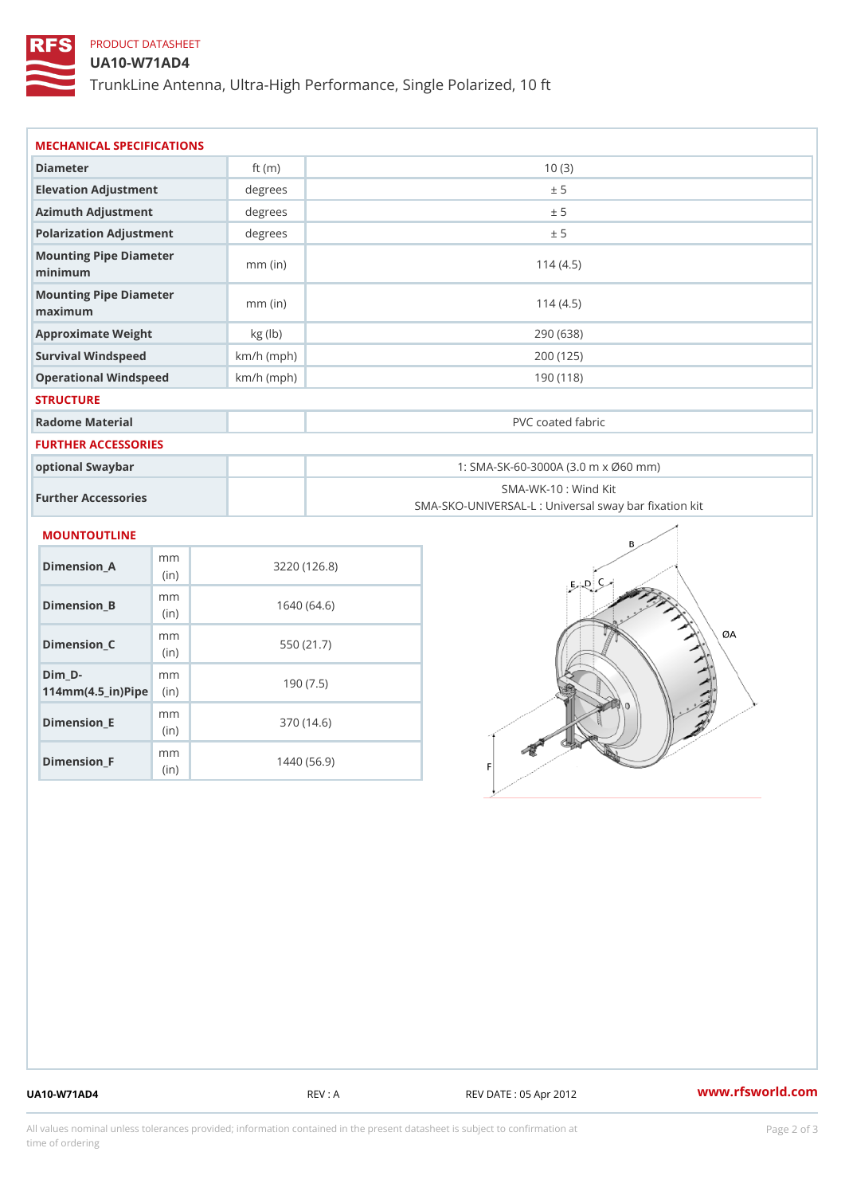# PRODUCT DATASHEET

### UA10-W71AD4

TrunkLine Antenna, Ultra-High Performance, Single Polarized, 10 ft

| MECHANICAL SPECIFICATIONS<br>Diameter<br>10(3)<br>ft $(m)$               |                                                                          |
|--------------------------------------------------------------------------|--------------------------------------------------------------------------|
|                                                                          |                                                                          |
|                                                                          |                                                                          |
| Elevation Adjustment<br>degree:<br>± 5                                   |                                                                          |
| Azimuth Adjustment<br>degrees<br>± 5                                     |                                                                          |
| Polarization Adjustment<br>degree:<br>± 5                                |                                                                          |
| Mounting Pipe Diameter<br>$mm$ (in)<br>minimum                           | 114(4.5)                                                                 |
| Mounting Pipe Diameter<br>$mm$ (in)<br>maximum                           | 114(4.5)                                                                 |
| Approximate Weight<br>kg (lb)                                            | 290 (638)                                                                |
| Survival Windspeed<br>$km/h$ (mph)                                       | 200 (125)                                                                |
| Operational Windspeed<br>$km/h$ (mph)                                    | 190(118)                                                                 |
| <b>STRUCTURE</b>                                                         |                                                                          |
| Radome Material                                                          | PVC coated fabric                                                        |
| <b>FURTHER ACCESSORIES</b>                                               |                                                                          |
| optional Swaybar                                                         | 1: SMA-SK-60-3000A (3.0 m x Ø60 mm)                                      |
| Further Accessories                                                      | SMA-WK-10: Wind Kit<br>SMA-SKO-UNIVERSAL-L : Universal sway bar fixation |
| MOUNTOUTLINE                                                             |                                                                          |
| m m<br>$Dimension_A$<br>3220 (126.8)<br>(in)                             |                                                                          |
| m m<br>Dimension_B<br>1640(64.6)<br>(in)                                 |                                                                          |
| m m<br>$Dimension_C$<br>550 (21.7)<br>(in)                               |                                                                          |
| $Dim_D - D -$<br>m m<br>190(7.5)<br>$114$ m m (4.5 _ ir ) $\sqrt{$ imple |                                                                          |

Dimension\_F m<sub>m</sub> (in) 1440 (56.9)

mm (in)

Dimension\_E

370 (14.6)

UA10-W71AD4 REV : A REV DATE : 05 Apr 2012 [www.](https://www.rfsworld.com)rfsworld.com